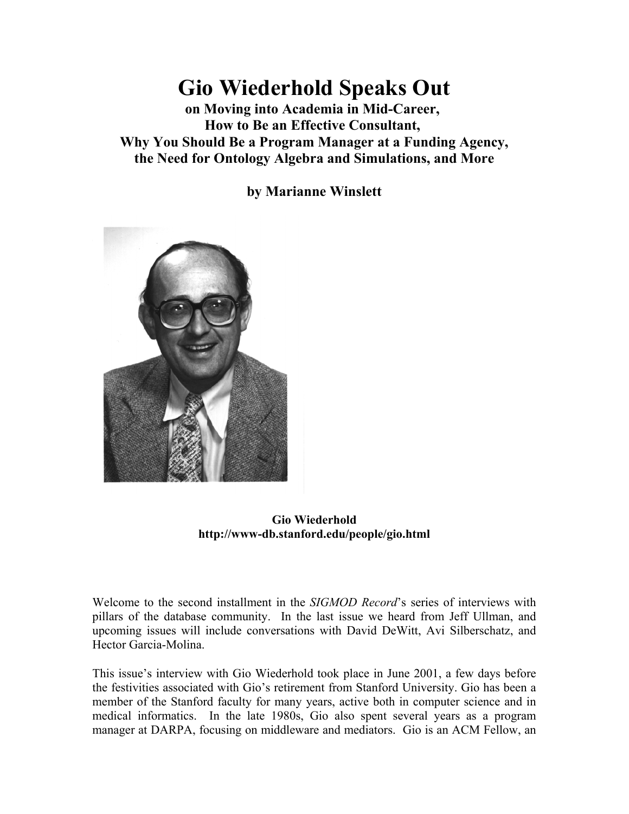# **Gio Wiederhold Speaks Out**

**on Moving into Academia in Mid-Career, How to Be an Effective Consultant, Why You Should Be a Program Manager at a Funding Agency, the Need for Ontology Algebra and Simulations, and More**

**by Marianne Winslett**



**Gio Wiederhold http://www-db.stanford.edu/people/gio.html**

Welcome to the second installment in the *SIGMOD Record*'s series of interviews with pillars of the database community. In the last issue we heard from Jeff Ullman, and upcoming issues will include conversations with David DeWitt, Avi Silberschatz, and Hector Garcia-Molina.

This issue's interview with Gio Wiederhold took place in June 2001, a few days before the festivities associated with Gio's retirement from Stanford University. Gio has been a member of the Stanford faculty for many years, active both in computer science and in medical informatics. In the late 1980s, Gio also spent several years as a program manager at DARPA, focusing on middleware and mediators. Gio is an ACM Fellow, an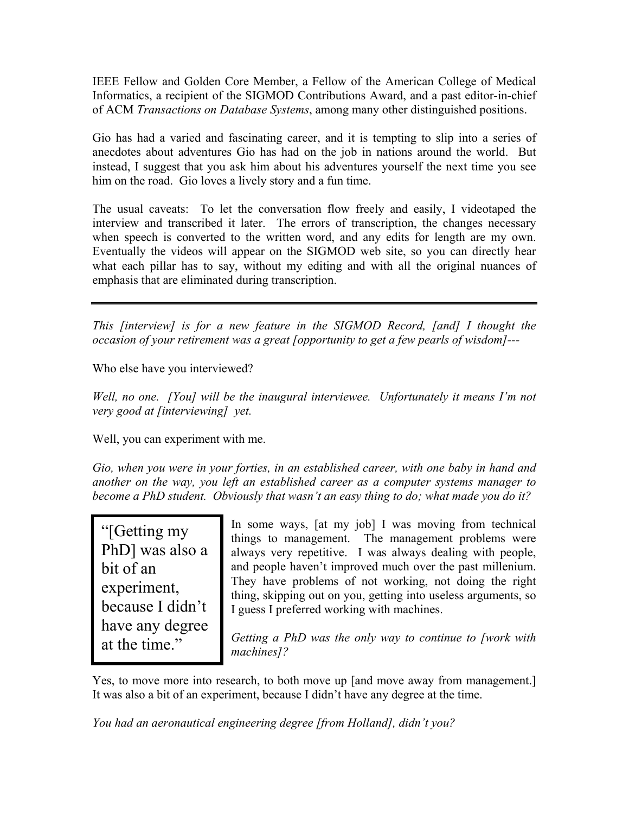IEEE Fellow and Golden Core Member, a Fellow of the American College of Medical Informatics, a recipient of the SIGMOD Contributions Award, and a past editor-in-chief of ACM *Transactions on Database Systems*, among many other distinguished positions.

Gio has had a varied and fascinating career, and it is tempting to slip into a series of anecdotes about adventures Gio has had on the job in nations around the world. But instead, I suggest that you ask him about his adventures yourself the next time you see him on the road. Gio loves a lively story and a fun time.

The usual caveats: To let the conversation flow freely and easily, I videotaped the interview and transcribed it later. The errors of transcription, the changes necessary when speech is converted to the written word, and any edits for length are my own. Eventually the videos will appear on the SIGMOD web site, so you can directly hear what each pillar has to say, without my editing and with all the original nuances of emphasis that are eliminated during transcription.

*This [interview] is for a new feature in the SIGMOD Record, [and] I thought the occasion of your retirement was a great [opportunity to get a few pearls of wisdom]---*

Who else have you interviewed?

*Well, no one. [You] will be the inaugural interviewee. Unfortunately it means I'm not very good at [interviewing] yet.*

Well, you can experiment with me.

*Gio, when you were in your forties, in an established career, with one baby in hand and another on the way, you left an established career as a computer systems manager to become a PhD student. Obviously that wasn't an easy thing to do; what made you do it?*

"[Getting my PhD] was also a bit of an experiment, because I didn't have any degree at the time."

In some ways, [at my job] I was moving from technical things to management. The management problems were always very repetitive. I was always dealing with people, and people haven't improved much over the past millenium. They have problems of not working, not doing the right thing, skipping out on you, getting into useless arguments, so I guess I preferred working with machines.

*Getting a PhD was the only way to continue to [work with machines]?*

Yes, to move more into research, to both move up [and move away from management.] It was also a bit of an experiment, because I didn't have any degree at the time.

*You had an aeronautical engineering degree [from Holland], didn't you?*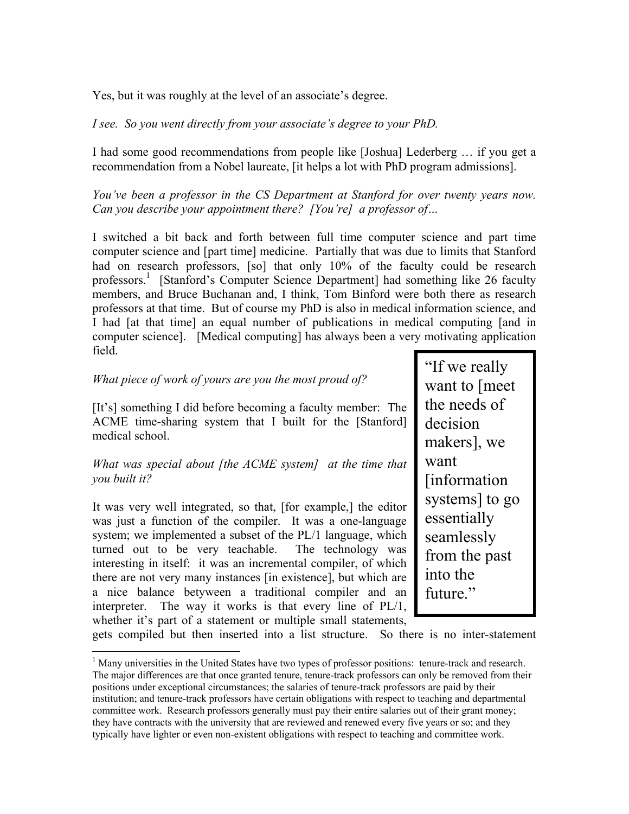Yes, but it was roughly at the level of an associate's degree.

*I see. So you went directly from your associate's degree to your PhD.*

I had some good recommendations from people like [Joshua] Lederberg … if you get a recommendation from a Nobel laureate, [it helps a lot with PhD program admissions].

*You've been a professor in the CS Department at Stanford for over twenty years now. Can you describe your appointment there? [You're] a professor of…*

I switched a bit back and forth between full time computer science and part time computer science and [part time] medicine. Partially that was due to limits that Stanford had on research professors, [so] that only 10% of the faculty could be research professors.<sup>[1](#page-2-0)</sup> [Stanford's Computer Science Department] had something like 26 faculty members, and Bruce Buchanan and, I think, Tom Binford were both there as research professors at that time. But of course my PhD is also in medical information science, and I had [at that time] an equal number of publications in medical computing [and in computer science]. [Medical computing] has always been a very motivating application field.

#### *What piece of work of yours are you the most proud of?*

[It's] something I did before becoming a faculty member: The ACME time-sharing system that I built for the [Stanford] medical school.

#### *What was special about [the ACME system] at the time that you built it?*

It was very well integrated, so that, [for example,] the editor was just a function of the compiler. It was a one-language system; we implemented a subset of the PL/1 language, which turned out to be very teachable. The technology was interesting in itself: it was an incremental compiler, of which there are not very many instances [in existence], but which are a nice balance betyween a traditional compiler and an interpreter. The way it works is that every line of PL/1, whether it's part of a statement or multiple small statements,

 $\overline{a}$ 

"If we really want to [meet the needs of decision makers], we want [information systems] to go essentially seamlessly from the past into the future."

gets compiled but then inserted into a list structure. So there is no inter-statement

<span id="page-2-0"></span> $<sup>1</sup>$  Many universities in the United States have two types of professor positions: tenure-track and research.</sup> The major differences are that once granted tenure, tenure-track professors can only be removed from their positions under exceptional circumstances; the salaries of tenure-track professors are paid by their institution; and tenure-track professors have certain obligations with respect to teaching and departmental committee work. Research professors generally must pay their entire salaries out of their grant money; they have contracts with the university that are reviewed and renewed every five years or so; and they typically have lighter or even non-existent obligations with respect to teaching and committee work.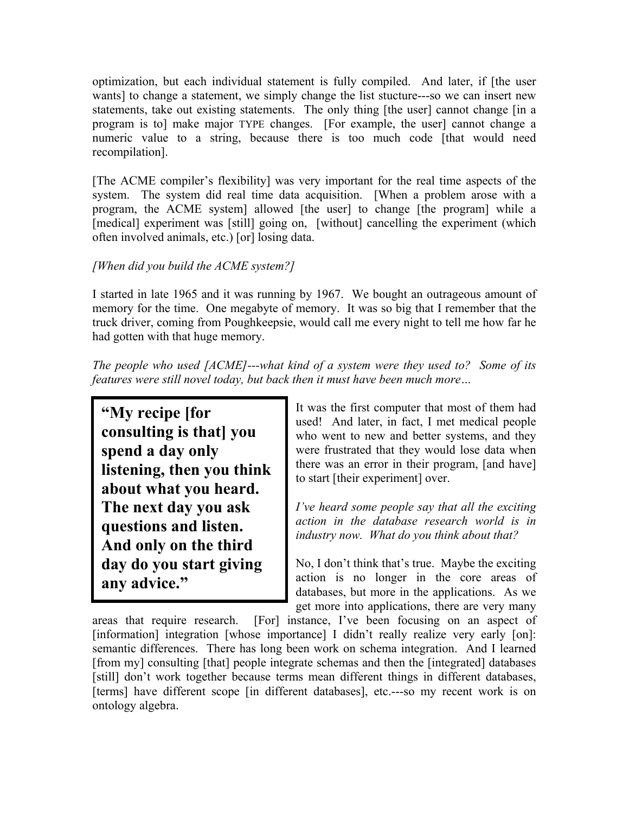optimization, but each individual statement is fully compiled. And later, if [the user wants] to change a statement, we simply change the list stucture---so we can insert new statements, take out existing statements. The only thing [the user] cannot change [in a program is to] make major TYPE changes. [For example, the user] cannot change a numeric value to a string, because there is too much code [that would need recompilation].

[The ACME compiler's flexibility] was very important for the real time aspects of the system. The system did real time data acquisition. [When a problem arose with a program, the ACME system] allowed [the user] to change [the program] while a [medical] experiment was [still] going on, [without] cancelling the experiment (which often involved animals, etc.) [or] losing data.

## *[When did you build the ACME system?]*

I started in late 1965 and it was running by 1967. We bought an outrageous amount of memory for the time. One megabyte of memory. It was so big that I remember that the truck driver, coming from Poughkeepsie, would call me every night to tell me how far he had gotten with that huge memory.

*The people who used [ACME]---what kind of a system were they used to? Some of its features were still novel today, but back then it must have been much more…*

**"My recipe [for consulting is that] you spend a day only listening, then you think about what you heard. The next day you ask questions and listen. And only on the third day do you start giving any advice."**

It was the first computer that most of them had used! And later, in fact, I met medical people who went to new and better systems, and they were frustrated that they would lose data when there was an error in their program, [and have] to start [their experiment] over.

*I've heard some people say that all the exciting action in the database research world is in industry now. What do you think about that?*

No, I don't think that's true. Maybe the exciting action is no longer in the core areas of databases, but more in the applications. As we get more into applications, there are very many

areas that require research. [For] instance, I've been focusing on an aspect of [information] integration [whose importance] I didn't really realize very early [on]: semantic differences. There has long been work on schema integration. And I learned [from my] consulting [that] people integrate schemas and then the [integrated] databases [still] don't work together because terms mean different things in different databases, [terms] have different scope [in different databases], etc.---so my recent work is on ontology algebra.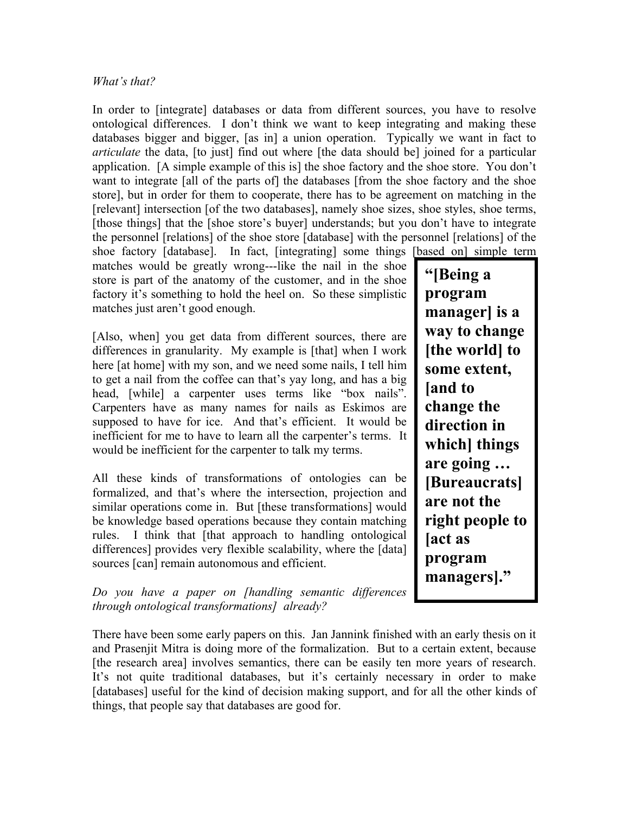#### *What's that?*

In order to [integrate] databases or data from different sources, you have to resolve ontological differences. I don't think we want to keep integrating and making these databases bigger and bigger, [as in] a union operation. Typically we want in fact to *articulate* the data, [to just] find out where [the data should be] joined for a particular application. [A simple example of this is] the shoe factory and the shoe store. You don't want to integrate [all of the parts of] the databases [from the shoe factory and the shoe store], but in order for them to cooperate, there has to be agreement on matching in the [relevant] intersection [of the two databases], namely shoe sizes, shoe styles, shoe terms, [those things] that the [shoe store's buyer] understands; but you don't have to integrate the personnel [relations] of the shoe store [database] with the personnel [relations] of the shoe factory [database]. In fact, [integrating] some things [based on] simple term matches would be greatly wrong---like the nail in the shoe

store is part of the anatomy of the customer, and in the shoe factory it's something to hold the heel on. So these simplistic matches just aren't good enough.

[Also, when] you get data from different sources, there are differences in granularity. My example is [that] when I work here [at home] with my son, and we need some nails, I tell him to get a nail from the coffee can that's yay long, and has a big head, [while] a carpenter uses terms like "box nails". Carpenters have as many names for nails as Eskimos are supposed to have for ice. And that's efficient. It would be inefficient for me to have to learn all the carpenter's terms. It would be inefficient for the carpenter to talk my terms.

All these kinds of transformations of ontologies can be formalized, and that's where the intersection, projection and similar operations come in. But [these transformations] would be knowledge based operations because they contain matching rules. I think that [that approach to handling ontological differences] provides very flexible scalability, where the [data] sources [can] remain autonomous and efficient.

*Do you have a paper on [handling semantic differences through ontological transformations] already?*

There have been some early papers on this. Jan Jannink finished with an early thesis on it and Prasenjit Mitra is doing more of the formalization. But to a certain extent, because [the research area] involves semantics, there can be easily ten more years of research. It's not quite traditional databases, but it's certainly necessary in order to make [databases] useful for the kind of decision making support, and for all the other kinds of things, that people say that databases are good for.

**"[Being a program manager] is a way to change [the world] to some extent, [and to change the direction in which] things are going … [Bureaucrats] are not the right people to [act as program managers]."**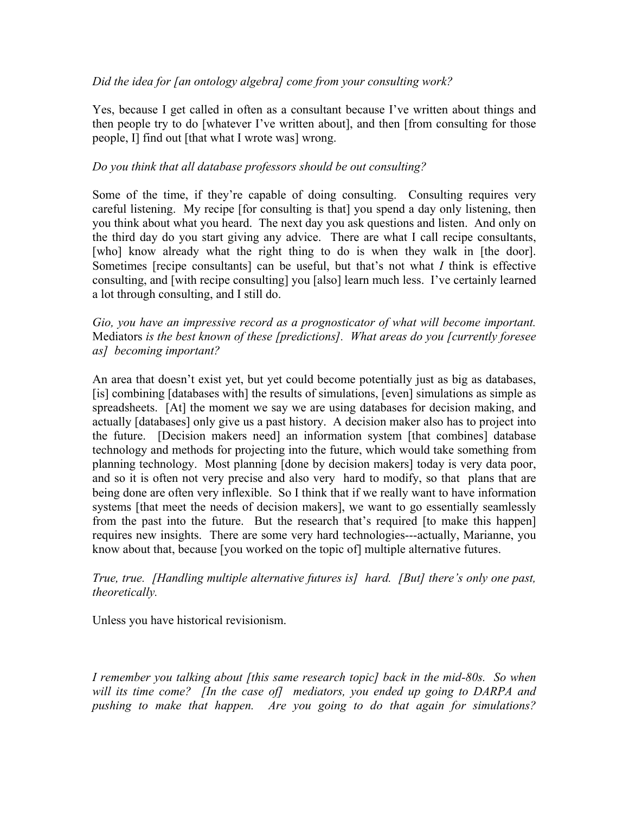#### *Did the idea for [an ontology algebra] come from your consulting work?*

Yes, because I get called in often as a consultant because I've written about things and then people try to do [whatever I've written about], and then [from consulting for those people, I] find out [that what I wrote was] wrong.

#### *Do you think that all database professors should be out consulting?*

Some of the time, if they're capable of doing consulting. Consulting requires very careful listening. My recipe [for consulting is that] you spend a day only listening, then you think about what you heard. The next day you ask questions and listen. And only on the third day do you start giving any advice. There are what I call recipe consultants, [who] know already what the right thing to do is when they walk in [the door]. Sometimes [recipe consultants] can be useful, but that's not what *I* think is effective consulting, and [with recipe consulting] you [also] learn much less. I've certainly learned a lot through consulting, and I still do.

*Gio, you have an impressive record as a prognosticator of what will become important.* Mediators *is the best known of these [predictions]. What areas do you [currently foresee as] becoming important?*

An area that doesn't exist yet, but yet could become potentially just as big as databases, [is] combining [databases with] the results of simulations, [even] simulations as simple as spreadsheets. [At] the moment we say we are using databases for decision making, and actually [databases] only give us a past history. A decision maker also has to project into the future. [Decision makers need] an information system [that combines] database technology and methods for projecting into the future, which would take something from planning technology. Most planning [done by decision makers] today is very data poor, and so it is often not very precise and also very hard to modify, so that plans that are being done are often very inflexible. So I think that if we really want to have information systems [that meet the needs of decision makers], we want to go essentially seamlessly from the past into the future. But the research that's required [to make this happen] requires new insights. There are some very hard technologies---actually, Marianne, you know about that, because [you worked on the topic of] multiple alternative futures.

#### *True, true. [Handling multiple alternative futures is] hard. [But] there's only one past, theoretically.*

Unless you have historical revisionism.

*I remember you talking about [this same research topic] back in the mid-80s. So when will its time come? [In the case of] mediators, you ended up going to DARPA and pushing to make that happen. Are you going to do that again for simulations?*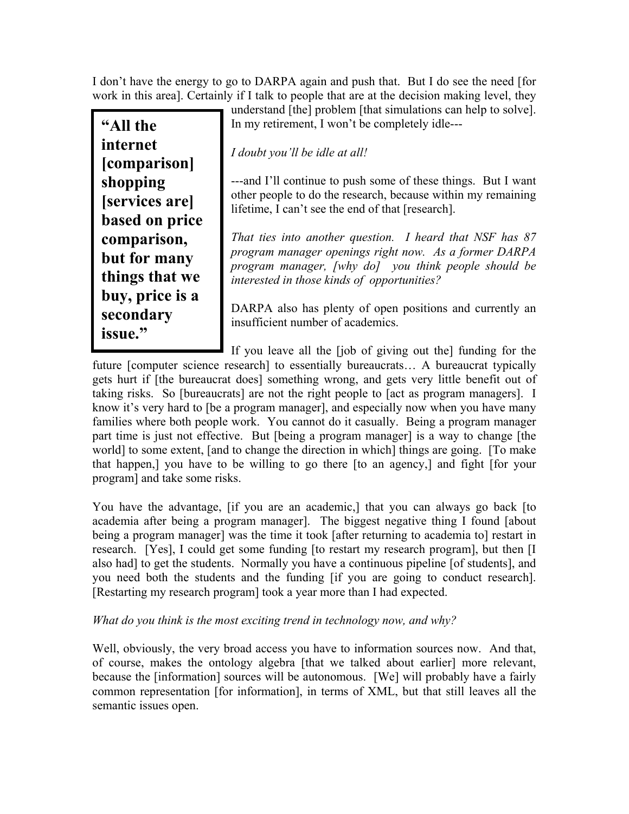I don't have the energy to go to DARPA again and push that. But I do see the need [for work in this area]. Certainly if I talk to people that are at the decision making level, they

**"All the internet [comparison] shopping [services are] based on price comparison, but for many things that we buy, price is a secondary issue."**

understand [the] problem [that simulations can help to solve]. In my retirement, I won't be completely idle---

## *I doubt you'll be idle at all!*

---and I'll continue to push some of these things. But I want other people to do the research, because within my remaining lifetime, I can't see the end of that [research].

*That ties into another question. I heard that NSF has 87 program manager openings right now. As a former DARPA program manager, [why do] you think people should be interested in those kinds of opportunities?*

DARPA also has plenty of open positions and currently an insufficient number of academics.

If you leave all the [job of giving out the] funding for the future [computer science research] to essentially bureaucrats… A bureaucrat typically gets hurt if [the bureaucrat does] something wrong, and gets very little benefit out of taking risks. So [bureaucrats] are not the right people to [act as program managers]. I know it's very hard to [be a program manager], and especially now when you have many families where both people work. You cannot do it casually. Being a program manager part time is just not effective. But [being a program manager] is a way to change [the world] to some extent, [and to change the direction in which] things are going. [To make that happen,] you have to be willing to go there [to an agency,] and fight [for your program] and take some risks.

You have the advantage, [if you are an academic,] that you can always go back [to academia after being a program manager]. The biggest negative thing I found [about being a program manager] was the time it took [after returning to academia to] restart in research. [Yes], I could get some funding [to restart my research program], but then [I also had] to get the students. Normally you have a continuous pipeline [of students], and you need both the students and the funding [if you are going to conduct research]. [Restarting my research program] took a year more than I had expected.

### *What do you think is the most exciting trend in technology now, and why?*

Well, obviously, the very broad access you have to information sources now. And that, of course, makes the ontology algebra [that we talked about earlier] more relevant, because the [information] sources will be autonomous. [We] will probably have a fairly common representation [for information], in terms of XML, but that still leaves all the semantic issues open.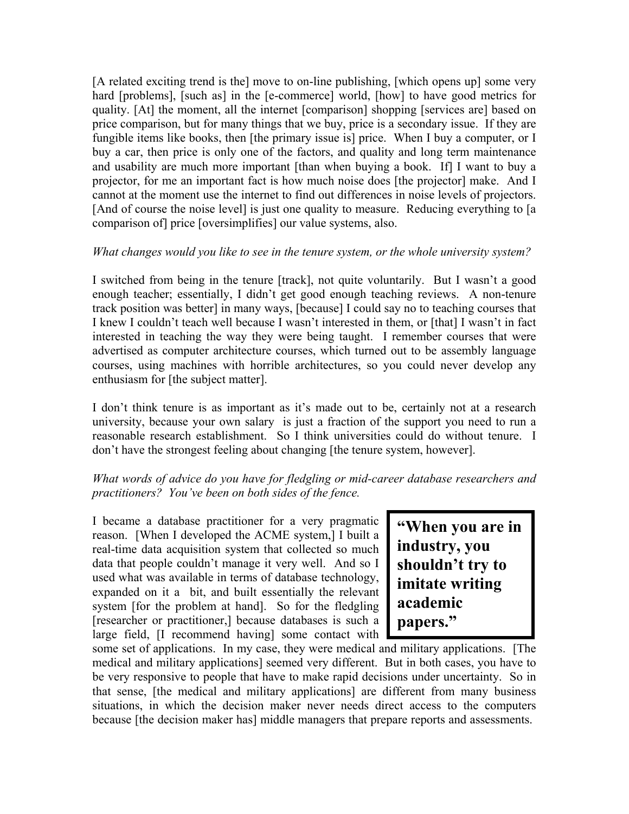[A related exciting trend is the] move to on-line publishing, [which opens up] some very hard [problems], [such as] in the [e-commerce] world, [how] to have good metrics for quality. [At] the moment, all the internet [comparison] shopping [services are] based on price comparison, but for many things that we buy, price is a secondary issue. If they are fungible items like books, then [the primary issue is] price. When I buy a computer, or I buy a car, then price is only one of the factors, and quality and long term maintenance and usability are much more important [than when buying a book. If] I want to buy a projector, for me an important fact is how much noise does [the projector] make. And I cannot at the moment use the internet to find out differences in noise levels of projectors. [And of course the noise level] is just one quality to measure. Reducing everything to [a comparison of] price [oversimplifies] our value systems, also.

#### *What changes would you like to see in the tenure system, or the whole university system?*

I switched from being in the tenure [track], not quite voluntarily. But I wasn't a good enough teacher; essentially, I didn't get good enough teaching reviews. A non-tenure track position was better] in many ways, [because] I could say no to teaching courses that I knew I couldn't teach well because I wasn't interested in them, or [that] I wasn't in fact interested in teaching the way they were being taught. I remember courses that were advertised as computer architecture courses, which turned out to be assembly language courses, using machines with horrible architectures, so you could never develop any enthusiasm for [the subject matter].

I don't think tenure is as important as it's made out to be, certainly not at a research university, because your own salary is just a fraction of the support you need to run a reasonable research establishment. So I think universities could do without tenure. I don't have the strongest feeling about changing [the tenure system, however].

#### *What words of advice do you have for fledgling or mid-career database researchers and practitioners? You've been on both sides of the fence.*

I became a database practitioner for a very pragmatic reason. [When I developed the ACME system,] I built a real-time data acquisition system that collected so much data that people couldn't manage it very well. And so I used what was available in terms of database technology, expanded on it a bit, and built essentially the relevant system [for the problem at hand]. So for the fledgling [researcher or practitioner,] because databases is such a large field, [I recommend having] some contact with

**"When you are in industry, you shouldn't try to imitate writing academic papers."**

some set of applications. In my case, they were medical and military applications. [The medical and military applications] seemed very different. But in both cases, you have to be very responsive to people that have to make rapid decisions under uncertainty. So in that sense, [the medical and military applications] are different from many business situations, in which the decision maker never needs direct access to the computers because [the decision maker has] middle managers that prepare reports and assessments.